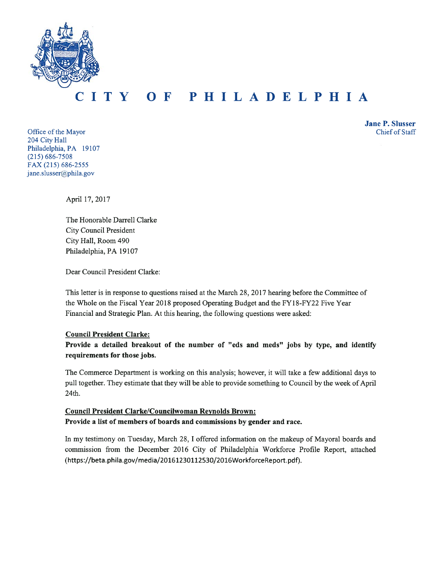

#### TY OF PHILADELPHIA  $\mathbf T$

Office of the Mayor 204 City Hall Philadelphia, PA 19107  $(215) 686 - 7508$ FAX (215) 686-2555 jane.slusser@phila.gov

**Jane P. Slusser** Chief of Staff

April 17, 2017

The Honorable Darrell Clarke **City Council President** City Hall, Room 490 Philadelphia, PA 19107

Dear Council President Clarke:

This letter is in response to questions raised at the March 28, 2017 hearing before the Committee of the Whole on the Fiscal Year 2018 proposed Operating Budget and the FY18-FY22 Five Year Financial and Strategic Plan. At this hearing, the following questions were asked:

#### **Council President Clarke:**

Provide a detailed breakout of the number of "eds and meds" jobs by type, and identify requirements for those jobs.

The Commerce Department is working on this analysis; however, it will take a few additional days to pull together. They estimate that they will be able to provide something to Council by the week of April 24th.

# **Council President Clarke/Councilwoman Reynolds Brown:** Provide a list of members of boards and commissions by gender and race.

In my testimony on Tuesday, March 28, I offered information on the makeup of Mayoral boards and commission from the December 2016 City of Philadelphia Workforce Profile Report, attached (https://beta.phila.gov/media/20161230112530/2016WorkforceReport.pdf).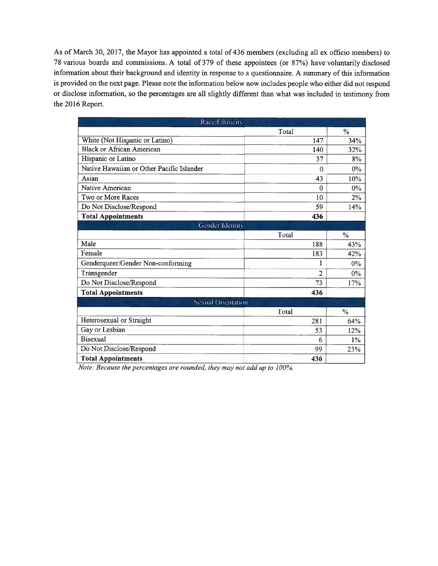As of March 30, 2017, the Mayor has appointed a total of 436 members (excluding all ex officio members) to 78 various boards and commissions. A total of 379 of these appointees (or 87%) have voluntarily disclosed information about their background and identity in response to a questionnaire. A summary of this information is provided on the next page. Please note the information below now includes people who either did not respond or disclose information, so the percentages are all slightly different than what was included in testimony from the 2016 Report.

| Race/Ethnicity                            |                          |               |
|-------------------------------------------|--------------------------|---------------|
|                                           | Total                    | $\frac{0}{0}$ |
| White (Not Hispanic or Latino)            | 147                      | 34%           |
| <b>Black or African American</b>          | 140                      | 32%           |
| Hispanic or Latino                        | 37                       | 8%            |
| Native Hawaiian or Other Pacific Islander | $\mathbf{0}$             | $0\%$         |
| Asian                                     | 43                       | 10%           |
| Native American                           | 0                        | $0\%$         |
| Two or More Races                         | 10                       | 2%            |
| Do Not Disclose/Respond                   | 59                       | 14%           |
| <b>Total Appointments</b>                 | 436                      |               |
| Gender Identity                           |                          |               |
|                                           | Total                    | $\frac{0}{0}$ |
| Male                                      | 188                      | 43%           |
| Female                                    | 183                      | 42%           |
| Genderqueer/Gender Non-conforming         | 1                        | $0\%$         |
| Transgender                               | $\overline{\mathcal{L}}$ | 0%            |
| Do Not Disclose/Respond                   | 73                       | 17%           |
| <b>Total Appointments</b>                 | 436                      |               |
| <b>Sexual Orientation</b>                 |                          |               |
|                                           | Total                    | $\frac{0}{0}$ |
| Heterosexual or Straight                  | 281                      | 64%           |
| Gay or Lesbian                            | 53                       | 12%           |
| <b>Bisexual</b>                           | 6                        | $1\%$         |
| Do Not Disclose/Respond                   | 99                       | 23%           |
| <b>Total Appointments</b>                 | 436                      |               |

Note: Because the percentages are rounded, they may not add up to 100%.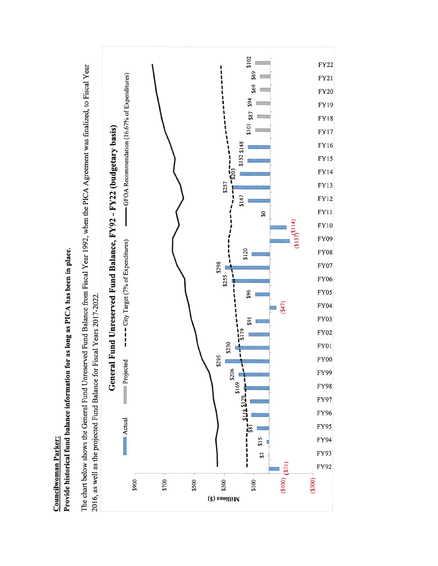

Provide historical fund balance information for as long as PICA has been in place.

Councilwoman Parker: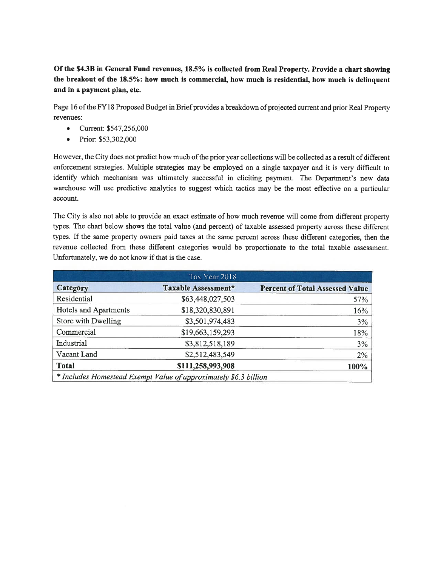Of the \$4.3B in General Fund revenues, 18.5% is collected from Real Property. Provide a chart showing the breakout of the 18.5%: how much is commercial, how much is residential, how much is delinquent and in a payment plan, etc.

Page 16 of the FY18 Proposed Budget in Brief provides a breakdown of projected current and prior Real Property revenues:

- $\bullet$ Current: \$547,256,000
- Prior: \$53,302,000  $\bullet$

However, the City does not predict how much of the prior year collections will be collected as a result of different enforcement strategies. Multiple strategies may be employed on a single taxpayer and it is very difficult to identify which mechanism was ultimately successful in eliciting payment. The Department's new data warehouse will use predictive analytics to suggest which tactics may be the most effective on a particular account.

The City is also not able to provide an exact estimate of how much revenue will come from different property types. The chart below shows the total value (and percent) of taxable assessed property across these different types. If the same property owners paid taxes at the same percent across these different categories, then the revenue collected from these different categories would be proportionate to the total taxable assessment. Unfortunately, we do not know if that is the case.

|                       | Tax Year 2018                                                    |                                        |
|-----------------------|------------------------------------------------------------------|----------------------------------------|
| Category              | Taxable Assessment*                                              | <b>Percent of Total Assessed Value</b> |
| Residential           | \$63,448,027,503                                                 | 57%                                    |
| Hotels and Apartments | \$18,320,830,891                                                 | 16%                                    |
| Store with Dwelling   | \$3,501,974,483                                                  | 3%                                     |
| Commercial            | \$19,663,159,293                                                 | 18%                                    |
| Industrial            | \$3,812,518,189                                                  | $3\%$                                  |
| Vacant Land           | \$2,512,483,549                                                  | 2%                                     |
| <b>Total</b>          | \$111,258,993,908                                                | $100\%$                                |
|                       | * Includes Homestead Exempt Value of approximately \$6.3 billion |                                        |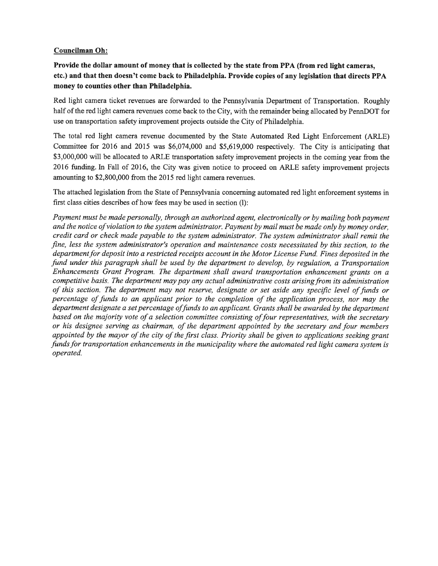#### **Councilman Oh:**

Provide the dollar amount of money that is collected by the state from PPA (from red light cameras, etc.) and that then doesn't come back to Philadelphia. Provide copies of any legislation that directs PPA money to counties other than Philadelphia.

Red light camera ticket revenues are forwarded to the Pennsylvania Department of Transportation. Roughly half of the red light camera revenues come back to the City, with the remainder being allocated by PennDOT for use on transportation safety improvement projects outside the City of Philadelphia.

The total red light camera revenue documented by the State Automated Red Light Enforcement (ARLE) Committee for 2016 and 2015 was \$6,074,000 and \$5,619,000 respectively. The City is anticipating that \$3,000,000 will be allocated to ARLE transportation safety improvement projects in the coming year from the 2016 funding. In Fall of 2016, the City was given notice to proceed on ARLE safety improvement projects amounting to \$2,800,000 from the 2015 red light camera revenues.

The attached legislation from the State of Pennsylvania concerning automated red light enforcement systems in first class cities describes of how fees may be used in section (1):

Payment must be made personally, through an authorized agent, electronically or by mailing both payment and the notice of violation to the system administrator. Payment by mail must be made only by money order, credit card or check made payable to the system administrator. The system administrator shall remit the fine, less the system administrator's operation and maintenance costs necessitated by this section, to the department for deposit into a restricted receipts account in the Motor License Fund. Fines deposited in the fund under this paragraph shall be used by the department to develop, by regulation, a Transportation Enhancements Grant Program. The department shall award transportation enhancement grants on a competitive basis. The department may pay any actual administrative costs arising from its administration of this section. The department may not reserve, designate or set aside any specific level of funds or percentage of funds to an applicant prior to the completion of the application process, nor may the department designate a set percentage of funds to an applicant. Grants shall be awarded by the department based on the majority vote of a selection committee consisting of four representatives, with the secretary or his designee serving as chairman, of the department appointed by the secretary and four members appointed by the mayor of the city of the first class. Priority shall be given to applications seeking grant funds for transportation enhancements in the municipality where the automated red light camera system is operated.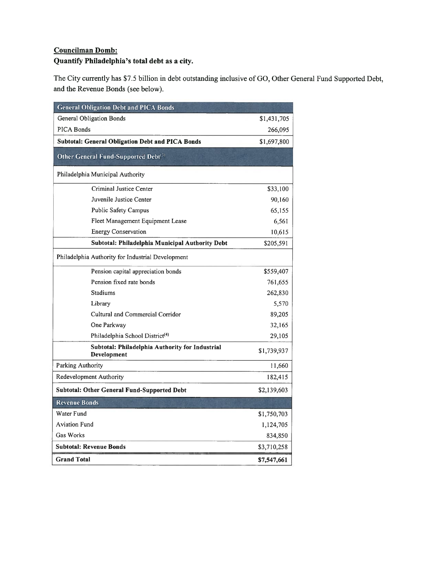# **Councilman Domb:** Quantify Philadelphia's total debt as a city.

The City currently has \$7.5 billion in debt outstanding inclusive of GO, Other General Fund Supported Debt, and the Revenue Bonds (see below).

| <b>General Obligation Debt and PICA Bonds</b>                  |             |  |  |
|----------------------------------------------------------------|-------------|--|--|
| General Obligation Bonds                                       | \$1,431,705 |  |  |
| PICA Bonds                                                     | 266,095     |  |  |
| <b>Subtotal: General Obligation Debt and PICA Bonds</b>        | \$1,697,800 |  |  |
| Other General Fund-Supported Debt <sup>(3)</sup>               |             |  |  |
| Philadelphia Municipal Authority                               |             |  |  |
| Criminal Justice Center                                        | \$33,100    |  |  |
| Juvenile Justice Center                                        | 90,160      |  |  |
| Public Safety Campus                                           | 65,155      |  |  |
| Fleet Management Equipment Lease                               | 6,561       |  |  |
| Energy Conservation                                            | 10,615      |  |  |
| Subtotal: Philadelphia Municipal Authority Debt                | \$205,591   |  |  |
| Philadelphia Authority for Industrial Development              |             |  |  |
| Pension capital appreciation bonds                             | \$559,407   |  |  |
| Pension fixed rate bonds                                       | 761,655     |  |  |
| Stadiums                                                       | 262,830     |  |  |
| Library                                                        | 5,570       |  |  |
| Cultural and Commercial Corridor                               | 89,205      |  |  |
| One Parkway                                                    | 32,165      |  |  |
| Philadelphia School District <sup>(4)</sup>                    | 29,105      |  |  |
| Subtotal: Philadelphia Authority for Industrial<br>Development | \$1,739,937 |  |  |
| Parking Authority                                              | 11,660      |  |  |
| Redevelopment Authority                                        | 182,415     |  |  |
| <b>Subtotal: Other General Fund-Supported Debt</b>             | \$2,139,603 |  |  |
| <b>Revenue Bonds</b>                                           |             |  |  |
| Water Fund                                                     | \$1,750,703 |  |  |
| <b>Aviation Fund</b>                                           | 1,124,705   |  |  |
| Gas Works                                                      | 834,850     |  |  |
| <b>Subtotal: Revenue Bonds</b>                                 | \$3,710,258 |  |  |
| <b>Grand Total</b>                                             | \$7,547,661 |  |  |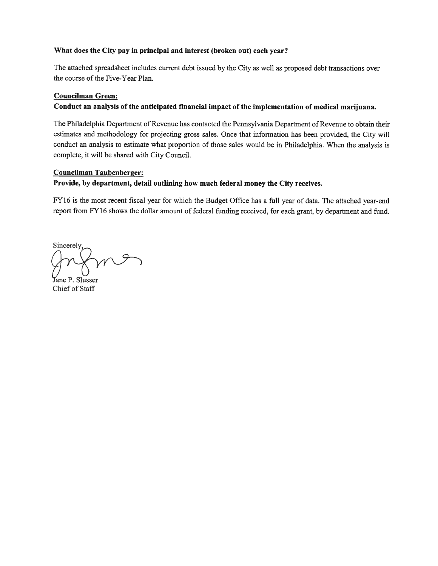#### What does the City pay in principal and interest (broken out) each year?

The attached spreadsheet includes current debt issued by the City as well as proposed debt transactions over the course of the Five-Year Plan.

#### **Councilman Green:**

## Conduct an analysis of the anticipated financial impact of the implementation of medical marijuana.

The Philadelphia Department of Revenue has contacted the Pennsylvania Department of Revenue to obtain their estimates and methodology for projecting gross sales. Once that information has been provided, the City will conduct an analysis to estimate what proportion of those sales would be in Philadelphia. When the analysis is complete, it will be shared with City Council.

#### **Councilman Taubenberger:**

# Provide, by department, detail outlining how much federal money the City receives.

FY16 is the most recent fiscal year for which the Budget Office has a full year of data. The attached year-end report from FY16 shows the dollar amount of federal funding received, for each grant, by department and fund.

Sincerely. me

Jane P. Slusser Chief of Staff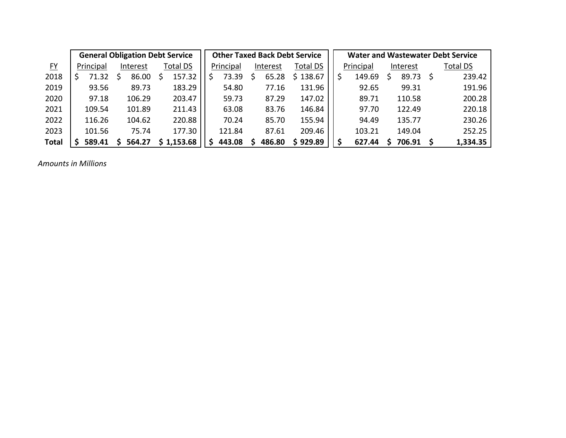|              |           | <b>General Obligation Debt Service</b> |          | <b>Other Taxed Back Debt Service</b> |           |          |        |          |  | <b>Water and Wastewater Debt Service</b> |  |                    |  |                 |  |  |
|--------------|-----------|----------------------------------------|----------|--------------------------------------|-----------|----------|--------|----------|--|------------------------------------------|--|--------------------|--|-----------------|--|--|
| $FY$         | Principal | Interest                               | Total DS |                                      | Principal | Interest |        | Total DS |  | Principal                                |  | Interest           |  | <b>Total DS</b> |  |  |
| 2018         | 71.32     | 86.00                                  | 157.32   | S                                    | 73.39     |          | 65.28  | \$138.67 |  | 149.69                                   |  | 89.73 <sup>5</sup> |  | 239.42          |  |  |
| 2019         | 93.56     | 89.73                                  | 183.29   |                                      | 54.80     |          | 77.16  | 131.96   |  | 92.65                                    |  | 99.31              |  | 191.96          |  |  |
| 2020         | 97.18     | 106.29                                 | 203.47   |                                      | 59.73     |          | 87.29  | 147.02   |  | 89.71                                    |  | 110.58             |  | 200.28          |  |  |
| 2021         | 109.54    | 101.89                                 | 211.43   |                                      | 63.08     |          | 83.76  | 146.84   |  | 97.70                                    |  | 122.49             |  | 220.18          |  |  |
| 2022         | 116.26    | 104.62                                 | 220.88   |                                      | 70.24     |          | 85.70  | 155.94   |  | 94.49                                    |  | 135.77             |  | 230.26          |  |  |
| 2023         | 101.56    | 75.74                                  | 177.30   |                                      | 121.84    |          | 87.61  | 209.46   |  | 103.21                                   |  | 149.04             |  | 252.25          |  |  |
| <b>Total</b> | 589.41    | 564.27                                 | 1,153.68 |                                      | 443.08    |          | 486.80 | \$929.89 |  | 627.44                                   |  | 706.91             |  | 1,334.35        |  |  |

*Amounts in Millions*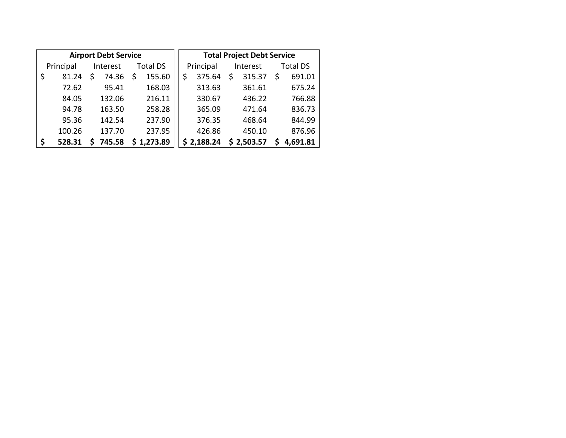| <b>Airport Debt Service</b> |           |          |        |                 |            |  |           | <b>Total Project Debt Service</b> |          |            |                 |          |  |  |
|-----------------------------|-----------|----------|--------|-----------------|------------|--|-----------|-----------------------------------|----------|------------|-----------------|----------|--|--|
|                             | Principal | Interest |        | <b>Total DS</b> |            |  | Principal |                                   | Interest |            | <b>Total DS</b> |          |  |  |
|                             | 81.24     |          | 74.36  | S               | 155.60     |  |           | 375.64                            | S        | 315.37     | \$              | 691.01   |  |  |
|                             | 72.62     |          | 95.41  |                 | 168.03     |  |           | 313.63                            |          | 361.61     |                 | 675.24   |  |  |
|                             | 84.05     |          | 132.06 |                 | 216.11     |  |           | 330.67                            |          | 436.22     |                 | 766.88   |  |  |
|                             | 94.78     |          | 163.50 |                 | 258.28     |  |           | 365.09                            |          | 471.64     |                 | 836.73   |  |  |
|                             | 95.36     |          | 142.54 |                 | 237.90     |  |           | 376.35                            |          | 468.64     |                 | 844.99   |  |  |
|                             | 100.26    |          | 137.70 |                 | 237.95     |  |           | 426.86                            |          | 450.10     |                 | 876.96   |  |  |
|                             | 528.31    |          | 745.58 |                 | \$1,273.89 |  |           | \$2,188.24                        |          | \$2,503.57 |                 | 4,691.81 |  |  |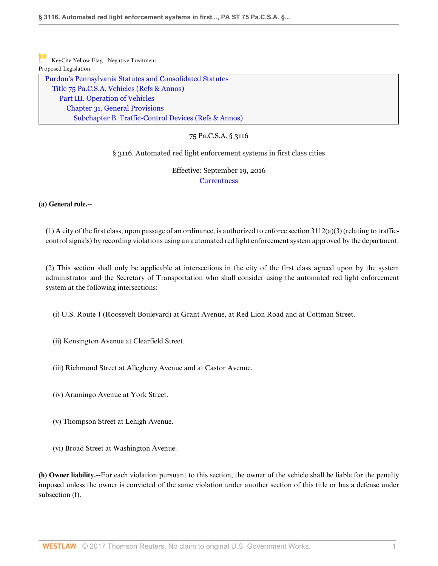| KeyCite Yellow Flag - Negative Treatment                 |
|----------------------------------------------------------|
| Proposed Legislation                                     |
| Purdon's Pennsylvania Statutes and Consolidated Statutes |
| Title 75 Pa.C.S.A. Vehicles (Refs & Annos)               |
| Part III. Operation of Vehicles                          |
| <b>Chapter 31. General Provisions</b>                    |
| Subchapter B. Traffic-Control Devices (Refs & Annos)     |
|                                                          |

## 75 Pa.C.S.A. § 3116

#### § 3116. Automated red light enforcement systems in first class cities

# Effective: September 19, 2016 **Currentness**

#### **(a) General rule.--**

(1) A city of the first class, upon passage of an ordinance, is authorized to enforce section  $3112(a)(3)$  (relating to trafficcontrol signals) by recording violations using an automated red light enforcement system approved by the department.

(2) This section shall only be applicable at intersections in the city of the first class agreed upon by the system administrator and the Secretary of Transportation who shall consider using the automated red light enforcement system at the following intersections:

(i) U.S. Route 1 (Roosevelt Boulevard) at Grant Avenue, at Red Lion Road and at Cottman Street.

- (ii) Kensington Avenue at Clearfield Street.
- (iii) Richmond Street at Allegheny Avenue and at Castor Avenue.
- (iv) Aramingo Avenue at York Street.
- (v) Thompson Street at Lehigh Avenue.
- (vi) Broad Street at Washington Avenue.

**(b) Owner liability.--**For each violation pursuant to this section, the owner of the vehicle shall be liable for the penalty imposed unless the owner is convicted of the same violation under another section of this title or has a defense under subsection (f).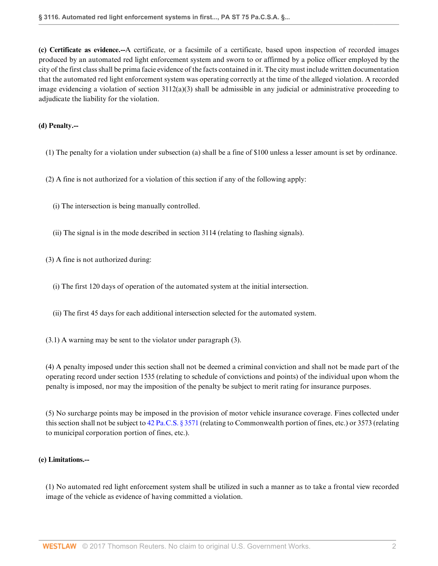**(c) Certificate as evidence.--**A certificate, or a facsimile of a certificate, based upon inspection of recorded images produced by an automated red light enforcement system and sworn to or affirmed by a police officer employed by the city of the first class shall be prima facie evidence of the facts contained in it. The city must include written documentation that the automated red light enforcement system was operating correctly at the time of the alleged violation. A recorded image evidencing a violation of section  $3112(a)(3)$  shall be admissible in any judicial or administrative proceeding to adjudicate the liability for the violation.

#### **(d) Penalty.--**

(1) The penalty for a violation under subsection (a) shall be a fine of \$100 unless a lesser amount is set by ordinance.

(2) A fine is not authorized for a violation of this section if any of the following apply:

- (i) The intersection is being manually controlled.
- (ii) The signal is in the mode described in section 3114 (relating to flashing signals).

(3) A fine is not authorized during:

- (i) The first 120 days of operation of the automated system at the initial intersection.
- (ii) The first 45 days for each additional intersection selected for the automated system.

(3.1) A warning may be sent to the violator under paragraph (3).

(4) A penalty imposed under this section shall not be deemed a criminal conviction and shall not be made part of the operating record under section 1535 (relating to schedule of convictions and points) of the individual upon whom the penalty is imposed, nor may the imposition of the penalty be subject to merit rating for insurance purposes.

(5) No surcharge points may be imposed in the provision of motor vehicle insurance coverage. Fines collected under this section shall not be subject to [42 Pa.C.S. § 3571](http://www.westlaw.com/Link/Document/FullText?findType=L&pubNum=1000262&cite=PA42S3571&originatingDoc=N1479E2B05F0B11E6A37BE96E68D8378F&refType=LQ&originationContext=document&vr=3.0&rs=cblt1.0&transitionType=DocumentItem&contextData=(sc.Category)) (relating to Commonwealth portion of fines, etc.) or 3573 (relating to municipal corporation portion of fines, etc.).

#### **(e) Limitations.--**

(1) No automated red light enforcement system shall be utilized in such a manner as to take a frontal view recorded image of the vehicle as evidence of having committed a violation.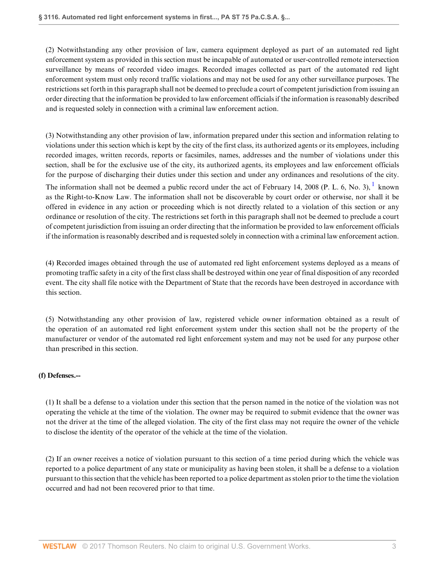(2) Notwithstanding any other provision of law, camera equipment deployed as part of an automated red light enforcement system as provided in this section must be incapable of automated or user-controlled remote intersection surveillance by means of recorded video images. Recorded images collected as part of the automated red light enforcement system must only record traffic violations and may not be used for any other surveillance purposes. The restrictions set forth in this paragraph shall not be deemed to preclude a court of competent jurisdiction from issuing an order directing that the information be provided to law enforcement officials if the information is reasonably described and is requested solely in connection with a criminal law enforcement action.

(3) Notwithstanding any other provision of law, information prepared under this section and information relating to violations under this section which is kept by the city of the first class, its authorized agents or its employees, including recorded images, written records, reports or facsimiles, names, addresses and the number of violations under this section, shall be for the exclusive use of the city, its authorized agents, its employees and law enforcement officials for the purpose of discharging their duties under this section and under any ordinances and resolutions of the city. The information shall not be deemed a public record under the act of February 14, 2008 (P. L. 6, No. 3),  $^1$  known as the Right-to-Know Law. The information shall not be discoverable by court order or otherwise, nor shall it be offered in evidence in any action or proceeding which is not directly related to a violation of this section or any ordinance or resolution of the city. The restrictions set forth in this paragraph shall not be deemed to preclude a court of competent jurisdiction from issuing an order directing that the information be provided to law enforcement officials if the information is reasonably described and is requested solely in connection with a criminal law enforcement action.

(4) Recorded images obtained through the use of automated red light enforcement systems deployed as a means of promoting traffic safety in a city of the first class shall be destroyed within one year of final disposition of any recorded event. The city shall file notice with the Department of State that the records have been destroyed in accordance with this section.

(5) Notwithstanding any other provision of law, registered vehicle owner information obtained as a result of the operation of an automated red light enforcement system under this section shall not be the property of the manufacturer or vendor of the automated red light enforcement system and may not be used for any purpose other than prescribed in this section.

#### **(f) Defenses.--**

(1) It shall be a defense to a violation under this section that the person named in the notice of the violation was not operating the vehicle at the time of the violation. The owner may be required to submit evidence that the owner was not the driver at the time of the alleged violation. The city of the first class may not require the owner of the vehicle to disclose the identity of the operator of the vehicle at the time of the violation.

(2) If an owner receives a notice of violation pursuant to this section of a time period during which the vehicle was reported to a police department of any state or municipality as having been stolen, it shall be a defense to a violation pursuant to this section that the vehicle has been reported to a police department as stolen prior to the time the violation occurred and had not been recovered prior to that time.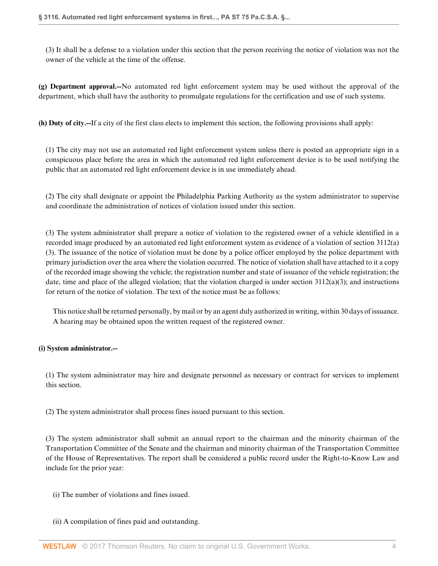(3) It shall be a defense to a violation under this section that the person receiving the notice of violation was not the owner of the vehicle at the time of the offense.

**(g) Department approval.--**No automated red light enforcement system may be used without the approval of the department, which shall have the authority to promulgate regulations for the certification and use of such systems.

**(h) Duty of city.--**If a city of the first class elects to implement this section, the following provisions shall apply:

(1) The city may not use an automated red light enforcement system unless there is posted an appropriate sign in a conspicuous place before the area in which the automated red light enforcement device is to be used notifying the public that an automated red light enforcement device is in use immediately ahead.

(2) The city shall designate or appoint the Philadelphia Parking Authority as the system administrator to supervise and coordinate the administration of notices of violation issued under this section.

(3) The system administrator shall prepare a notice of violation to the registered owner of a vehicle identified in a recorded image produced by an automated red light enforcement system as evidence of a violation of section 3112(a) (3). The issuance of the notice of violation must be done by a police officer employed by the police department with primary jurisdiction over the area where the violation occurred. The notice of violation shall have attached to it a copy of the recorded image showing the vehicle; the registration number and state of issuance of the vehicle registration; the date, time and place of the alleged violation; that the violation charged is under section  $3112(a)(3)$ ; and instructions for return of the notice of violation. The text of the notice must be as follows:

This notice shall be returned personally, by mail or by an agent duly authorized in writing, within 30 days of issuance. A hearing may be obtained upon the written request of the registered owner.

#### **(i) System administrator.--**

(1) The system administrator may hire and designate personnel as necessary or contract for services to implement this section.

(2) The system administrator shall process fines issued pursuant to this section.

(3) The system administrator shall submit an annual report to the chairman and the minority chairman of the Transportation Committee of the Senate and the chairman and minority chairman of the Transportation Committee of the House of Representatives. The report shall be considered a public record under the Right-to-Know Law and include for the prior year:

(i) The number of violations and fines issued.

(ii) A compilation of fines paid and outstanding.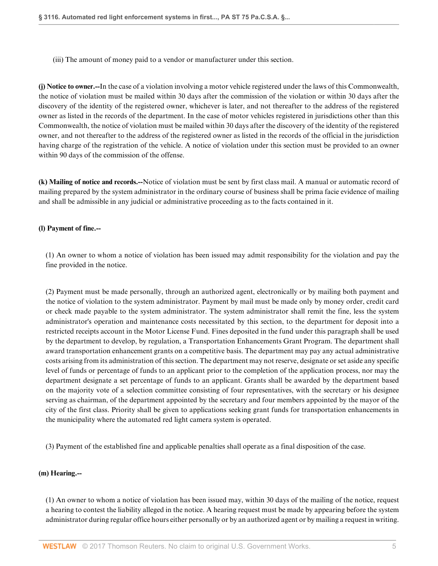(iii) The amount of money paid to a vendor or manufacturer under this section.

**(j) Notice to owner.--**In the case of a violation involving a motor vehicle registered under the laws of this Commonwealth, the notice of violation must be mailed within 30 days after the commission of the violation or within 30 days after the discovery of the identity of the registered owner, whichever is later, and not thereafter to the address of the registered owner as listed in the records of the department. In the case of motor vehicles registered in jurisdictions other than this Commonwealth, the notice of violation must be mailed within 30 days after the discovery of the identity of the registered owner, and not thereafter to the address of the registered owner as listed in the records of the official in the jurisdiction having charge of the registration of the vehicle. A notice of violation under this section must be provided to an owner within 90 days of the commission of the offense.

**(k) Mailing of notice and records.--**Notice of violation must be sent by first class mail. A manual or automatic record of mailing prepared by the system administrator in the ordinary course of business shall be prima facie evidence of mailing and shall be admissible in any judicial or administrative proceeding as to the facts contained in it.

#### **(l) Payment of fine.--**

(1) An owner to whom a notice of violation has been issued may admit responsibility for the violation and pay the fine provided in the notice.

(2) Payment must be made personally, through an authorized agent, electronically or by mailing both payment and the notice of violation to the system administrator. Payment by mail must be made only by money order, credit card or check made payable to the system administrator. The system administrator shall remit the fine, less the system administrator's operation and maintenance costs necessitated by this section, to the department for deposit into a restricted receipts account in the Motor License Fund. Fines deposited in the fund under this paragraph shall be used by the department to develop, by regulation, a Transportation Enhancements Grant Program. The department shall award transportation enhancement grants on a competitive basis. The department may pay any actual administrative costs arising from its administration of this section. The department may not reserve, designate or set aside any specific level of funds or percentage of funds to an applicant prior to the completion of the application process, nor may the department designate a set percentage of funds to an applicant. Grants shall be awarded by the department based on the majority vote of a selection committee consisting of four representatives, with the secretary or his designee serving as chairman, of the department appointed by the secretary and four members appointed by the mayor of the city of the first class. Priority shall be given to applications seeking grant funds for transportation enhancements in the municipality where the automated red light camera system is operated.

(3) Payment of the established fine and applicable penalties shall operate as a final disposition of the case.

#### **(m) Hearing.--**

(1) An owner to whom a notice of violation has been issued may, within 30 days of the mailing of the notice, request a hearing to contest the liability alleged in the notice. A hearing request must be made by appearing before the system administrator during regular office hours either personally or by an authorized agent or by mailing a request in writing.